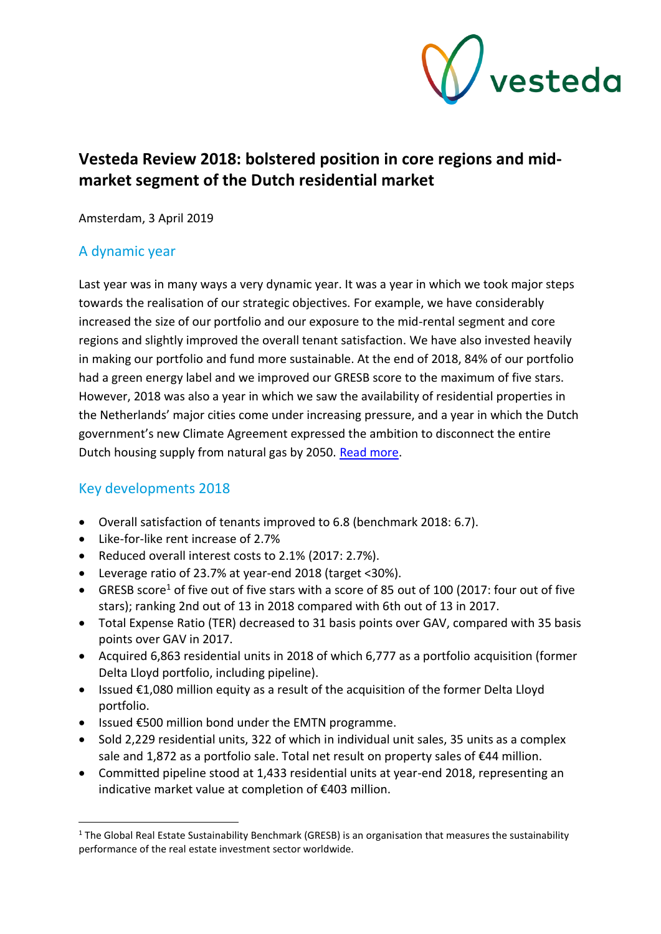

# **Vesteda Review 2018: bolstered position in core regions and midmarket segment of the Dutch residential market**

Amsterdam, 3 April 2019

## A dynamic year

Last year was in many ways a very dynamic year. It was a year in which we took major steps towards the realisation of our strategic objectives. For example, we have considerably increased the size of our portfolio and our exposure to the mid-rental segment and core regions and slightly improved the overall tenant satisfaction. We have also invested heavily in making our portfolio and fund more sustainable. At the end of 2018, 84% of our portfolio had a green energy label and we improved our GRESB score to the maximum of five stars. However, 2018 was also a year in which we saw the availability of residential properties in the Netherlands' major cities come under increasing pressure, and a year in which the Dutch government's new Climate Agreement expressed the ambition to disconnect the entire Dutch housing supply from natural gas by 2050. [Read more.](#page-2-0)

## Key developments 2018

 $\overline{\phantom{a}}$ 

- Overall satisfaction of tenants improved to 6.8 (benchmark 2018: 6.7).
- Like-for-like rent increase of 2.7%
- Reduced overall interest costs to 2.1% (2017: 2.7%).
- Leverage ratio of 23.7% at year-end 2018 (target <30%).
- GRESB score<sup>1</sup> of five out of five stars with a score of 85 out of 100 (2017: four out of five stars); ranking 2nd out of 13 in 2018 compared with 6th out of 13 in 2017.
- Total Expense Ratio (TER) decreased to 31 basis points over GAV, compared with 35 basis points over GAV in 2017.
- Acquired 6,863 residential units in 2018 of which 6,777 as a portfolio acquisition (former Delta Lloyd portfolio, including pipeline).
- Issued €1,080 million equity as a result of the acquisition of the former Delta Lloyd portfolio.
- Issued €500 million bond under the EMTN programme.
- Sold 2,229 residential units, 322 of which in individual unit sales, 35 units as a complex sale and 1,872 as a portfolio sale. Total net result on property sales of €44 million.
- Committed pipeline stood at 1,433 residential units at year-end 2018, representing an indicative market value at completion of €403 million.

<sup>&</sup>lt;sup>1</sup> The Global Real Estate Sustainability Benchmark (GRESB) is an organisation that measures the sustainability performance of the real estate investment sector worldwide.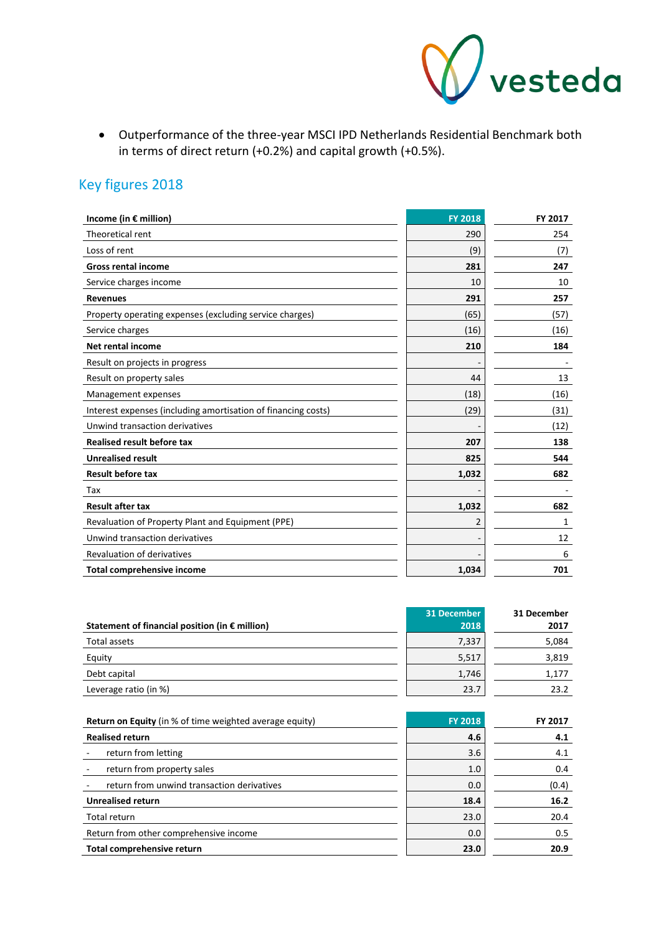

• Outperformance of the three-year MSCI IPD Netherlands Residential Benchmark both in terms of direct return (+0.2%) and capital growth (+0.5%).

# Key figures 2018

| Income (in $\epsilon$ million)                                | <b>FY 2018</b> | FY 2017 |
|---------------------------------------------------------------|----------------|---------|
| Theoretical rent                                              | 290            | 254     |
| Loss of rent                                                  | (9)            | (7)     |
| <b>Gross rental income</b>                                    | 281            | 247     |
| Service charges income                                        | 10             | 10      |
| <b>Revenues</b>                                               | 291            | 257     |
| Property operating expenses (excluding service charges)       | (65)           | (57)    |
| Service charges                                               | (16)           | (16)    |
| <b>Net rental income</b>                                      | 210            | 184     |
| Result on projects in progress                                |                |         |
| Result on property sales                                      | 44             | 13      |
| Management expenses                                           | (18)           | (16)    |
| Interest expenses (including amortisation of financing costs) | (29)           | (31)    |
| Unwind transaction derivatives                                |                | (12)    |
| <b>Realised result before tax</b>                             | 207            | 138     |
| <b>Unrealised result</b>                                      | 825            | 544     |
| <b>Result before tax</b>                                      | 1,032          | 682     |
| Tax                                                           |                |         |
| <b>Result after tax</b>                                       | 1,032          | 682     |
| Revaluation of Property Plant and Equipment (PPE)             | 2              | 1       |
| Unwind transaction derivatives                                |                | 12      |
| Revaluation of derivatives                                    |                | 6       |
| <b>Total comprehensive income</b>                             | 1,034          | 701     |

| Statement of financial position (in $\epsilon$ million) | 31 December<br>2018 | 31 December<br>2017 |
|---------------------------------------------------------|---------------------|---------------------|
| Total assets                                            | 7,337               | 5,084               |
| Equity                                                  | 5,517               | 3,819               |
| Debt capital                                            | 1,746               | 1,177               |
| Leverage ratio (in %)                                   | 23.7                | 23.2                |

| <b>Return on Equity</b> (in % of time weighted average equity) | <b>FY 2018</b> | <b>FY 2017</b> |
|----------------------------------------------------------------|----------------|----------------|
| <b>Realised return</b>                                         | 4.6            | 4.1            |
| return from letting                                            | 3.6            | 4.1            |
| return from property sales                                     | 1.0            | 0.4            |
| return from unwind transaction derivatives                     | 0.0            | (0.4)          |
| <b>Unrealised return</b>                                       | 18.4           | 16.2           |
| Total return                                                   | 23.0           | 20.4           |
| Return from other comprehensive income                         | 0.0            | 0.5            |
| Total comprehensive return                                     | 23.0           | 20.9           |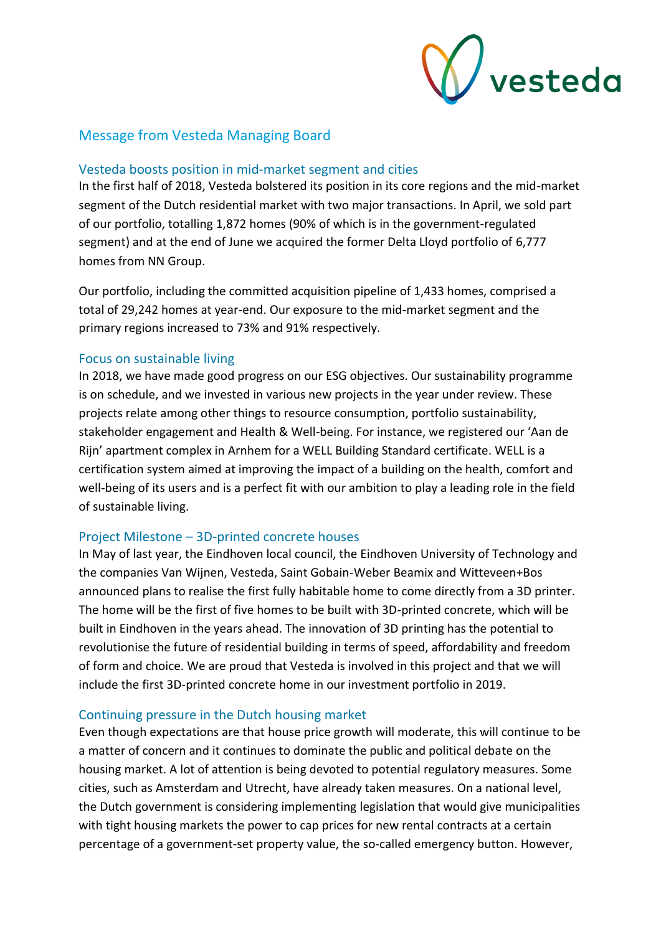

### <span id="page-2-0"></span>Message from Vesteda Managing Board

#### Vesteda boosts position in mid-market segment and cities

In the first half of 2018, Vesteda bolstered its position in its core regions and the mid-market segment of the Dutch residential market with two major transactions. In April, we sold part of our portfolio, totalling 1,872 homes (90% of which is in the government-regulated segment) and at the end of June we acquired the former Delta Lloyd portfolio of 6,777 homes from NN Group.

Our portfolio, including the committed acquisition pipeline of 1,433 homes, comprised a total of 29,242 homes at year-end. Our exposure to the mid-market segment and the primary regions increased to 73% and 91% respectively.

#### Focus on sustainable living

In 2018, we have made good progress on our ESG objectives. Our sustainability programme is on schedule, and we invested in various new projects in the year under review. These projects relate among other things to resource consumption, portfolio sustainability, stakeholder engagement and Health & Well-being. For instance, we registered our 'Aan de Rijn' apartment complex in Arnhem for a WELL Building Standard certificate. WELL is a certification system aimed at improving the impact of a building on the health, comfort and well-being of its users and is a perfect fit with our ambition to play a leading role in the field of sustainable living.

#### Project Milestone – 3D-printed concrete houses

In May of last year, the Eindhoven local council, the Eindhoven University of Technology and the companies Van Wijnen, Vesteda, Saint Gobain-Weber Beamix and Witteveen+Bos announced plans to realise the first fully habitable home to come directly from a 3D printer. The home will be the first of five homes to be built with 3D-printed concrete, which will be built in Eindhoven in the years ahead. The innovation of 3D printing has the potential to revolutionise the future of residential building in terms of speed, affordability and freedom of form and choice. We are proud that Vesteda is involved in this project and that we will include the first 3D-printed concrete home in our investment portfolio in 2019.

#### Continuing pressure in the Dutch housing market

Even though expectations are that house price growth will moderate, this will continue to be a matter of concern and it continues to dominate the public and political debate on the housing market. A lot of attention is being devoted to potential regulatory measures. Some cities, such as Amsterdam and Utrecht, have already taken measures. On a national level, the Dutch government is considering implementing legislation that would give municipalities with tight housing markets the power to cap prices for new rental contracts at a certain percentage of a government-set property value, the so-called emergency button. However,